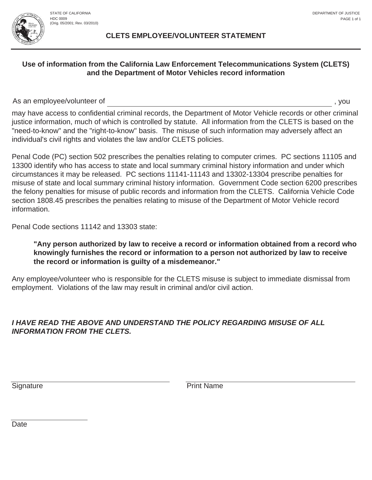#### **CLETS EMPLOYEE/VOLUNTEER STATEMENT**

# **Use of information from the California Law Enforcement Telecommunications System (CLETS) and the Department of Motor Vehicles record information**

As an employee/volunteer of , you

may have access to confidential criminal records, the Department of Motor Vehicle records or other criminal justice information, much of which is controlled by statute. All information from the CLETS is based on the "need-to-know" and the "right-to-know" basis. The misuse of such information may adversely affect an individual's civil rights and violates the law and/or CLETS policies.

Penal Code (PC) section 502 prescribes the penalties relating to computer crimes. PC sections 11105 and 13300 identify who has access to state and local summary criminal history information and under which circumstances it may be released. PC sections 11141-11143 and 13302-13304 prescribe penalties for misuse of state and local summary criminal history information. Government Code section 6200 prescribes the felony penalties for misuse of public records and information from the CLETS. California Vehicle Code section 1808.45 prescribes the penalties relating to misuse of the Department of Motor Vehicle record information.

Penal Code sections 11142 and 13303 state:

# **"Any person authorized by law to receive a record or information obtained from a record who knowingly furnishes the record or information to a person not authorized by law to receive the record or information is guilty of a misdemeanor."**

Any employee/volunteer who is responsible for the CLETS misuse is subject to immediate dismissal from employment. Violations of the law may result in criminal and/or civil action.

# *I HAVE READ THE ABOVE AND UNDERSTAND THE POLICY REGARDING MISUSE OF ALL INFORMATION FROM THE CLETS.*

Signature **Print Name** 

Date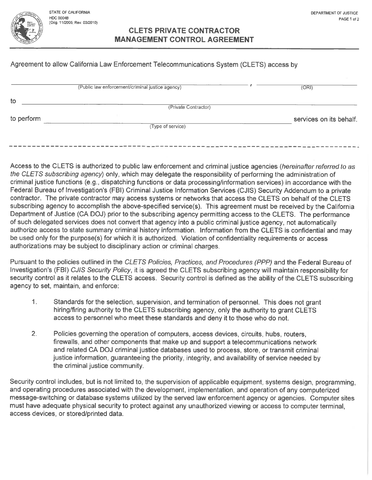STATE OF CALIFORNIA **HDC 0004B** (Orig. 11/2005; Rev. 03/2010)

#### **CLETS PRIVATE CONTRACTOR MANAGEMENT CONTROL AGREEMENT**

# Agreement to allow California Law Enforcement Telecommunications System (CLETS) access by

| services on its behalf. |
|-------------------------|
|                         |
|                         |

Access to the CLETS is authorized to public law enforcement and criminal justice agencies (hereinafter referred to as the CLETS subscribing agency) only, which may delegate the responsibility of performing the administration of criminal justice functions (e.g., dispatching functions or data processing/information services) in accordance with the Federal Bureau of Investigation's (FBI) Criminal Justice Information Services (CJIS) Security Addendum to a private contractor. The private contractor may access systems or networks that access the CLETS on behalf of the CLETS subscribing agency to accomplish the above-specified service(s). This agreement must be received by the California Department of Justice (CA DOJ) prior to the subscribing agency permitting access to the CLETS. The performance of such delegated services does not convert that agency into a public criminal justice agency, not automatically authorize access to state summary criminal history information. Information from the CLETS is confidential and may be used only for the purpose(s) for which it is authorized. Violation of confidentiality requirements or access authorizations may be subject to disciplinary action or criminal charges.

Pursuant to the policies outlined in the CLETS Policies, Practices, and Procedures (PPP) and the Federal Bureau of Investigation's (FBI) CJIS Security Policy, it is agreed the CLETS subscribing agency will maintain responsibility for security control as it relates to the CLETS access. Security control is defined as the ability of the CLETS subscribing agency to set, maintain, and enforce:

- $1<sub>1</sub>$ Standards for the selection, supervision, and termination of personnel. This does not grant hiring/firing authority to the CLETS subscribing agency, only the authority to grant CLETS access to personnel who meet these standards and deny it to those who do not.
- $2.$ Policies governing the operation of computers, access devices, circuits, hubs, routers, firewalls, and other components that make up and support a telecommunications network and related CA DOJ criminal justice databases used to process, store, or transmit criminal justice information, guaranteeing the priority, integrity, and availability of service needed by the criminal justice community.

Security control includes, but is not limited to, the supervision of applicable equipment, systems design, programming, and operating procedures associated with the development, implementation, and operation of any computerized message-switching or database systems utilized by the served law enforcement agency or agencies. Computer sites must have adequate physical security to protect against any unauthorized viewing or access to computer terminal, access devices, or stored/printed data.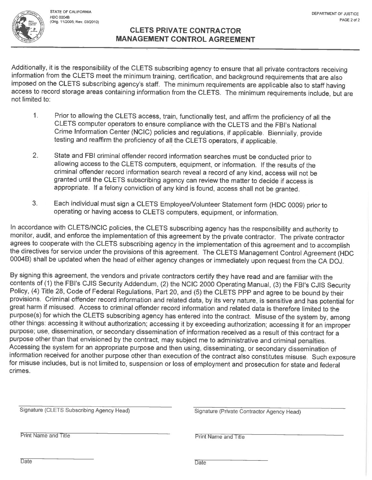STATE OF CALIFORNIA HDC 0004B (Orig. 11/2005; Rev. 03/2010)

# **CLETS PRIVATE CONTRACTOR MANAGEMENT CONTROL AGREEMENT**

Additionally, it is the responsibility of the CLETS subscribing agency to ensure that all private contractors receiving information from the CLETS meet the minimum training, certification, and background requirements that are also imposed on the CLETS subscribing agency's staff. The minimum requirements are applicable also to staff having access to record storage areas containing information from the CLETS. The minimum requirements include, but are not limited to:

- $\mathbf{1}$ Prior to allowing the CLETS access, train, functionally test, and affirm the proficiency of all the CLETS computer operators to ensure compliance with the CLETS and the FBI's National Crime Information Center (NCIC) policies and regulations, if applicable. Biennially, provide testing and reaffirm the proficiency of all the CLETS operators, if applicable.
- $2.$ State and FBI criminal offender record information searches must be conducted prior to allowing access to the CLETS computers, equipment, or information. If the results of the criminal offender record information search reveal a record of any kind, access will not be granted until the CLETS subscribing agency can review the matter to decide if access is appropriate. If a felony conviction of any kind is found, access shall not be granted.
- Each individual must sign a CLETS Employee/Volunteer Statement form (HDC 0009) prior to 3. operating or having access to CLETS computers, equipment, or information.

In accordance with CLETS/NCIC policies, the CLETS subscribing agency has the responsibility and authority to monitor, audit, and enforce the implementation of this agreement by the private contractor. The private contractor agrees to cooperate with the CLETS subscribing agency in the implementation of this agreement and to accomplish the directives for service under the provisions of this agreement. The CLETS Management Control Agreement (HDC 0004B) shall be updated when the head of either agency changes or immediately upon request from the CA DOJ.

By signing this agreement, the vendors and private contractors certify they have read and are familiar with the contents of (1) the FBI's CJIS Security Addendum, (2) the NCIC 2000 Operating Manual, (3) the FBI's CJIS Security Policy, (4) Title 28, Code of Federal Regulations, Part 20, and (5) the CLETS PPP and agree to be bound by their provisions. Criminal offender record information and related data, by its very nature, is sensitive and has potential for great harm if misused. Access to criminal offender record information and related data is therefore limited to the purpose(s) for which the CLETS subscribing agency has entered into the contract. Misuse of the system by, among other things: accessing it without authorization; accessing it by exceeding authorization; accessing it for an improper purpose; use, dissemination, or secondary dissemination of information received as a result of this contract for a purpose other than that envisioned by the contract, may subject me to administrative and criminal penalties. Accessing the system for an appropriate purpose and then using, disseminating, or secondary dissemination of information received for another purpose other than execution of the contract also constitutes misuse. Such exposure for misuse includes, but is not limited to, suspension or loss of employment and prosecution for state and federal crimes.

| Signature (CLETS Subscribing Agency Head) | Signature (Private Contractor Agency Head) |
|-------------------------------------------|--------------------------------------------|
|                                           |                                            |
| Print Name and Title                      | <b>Print Name and Title</b>                |
|                                           |                                            |
| Date                                      | Date                                       |